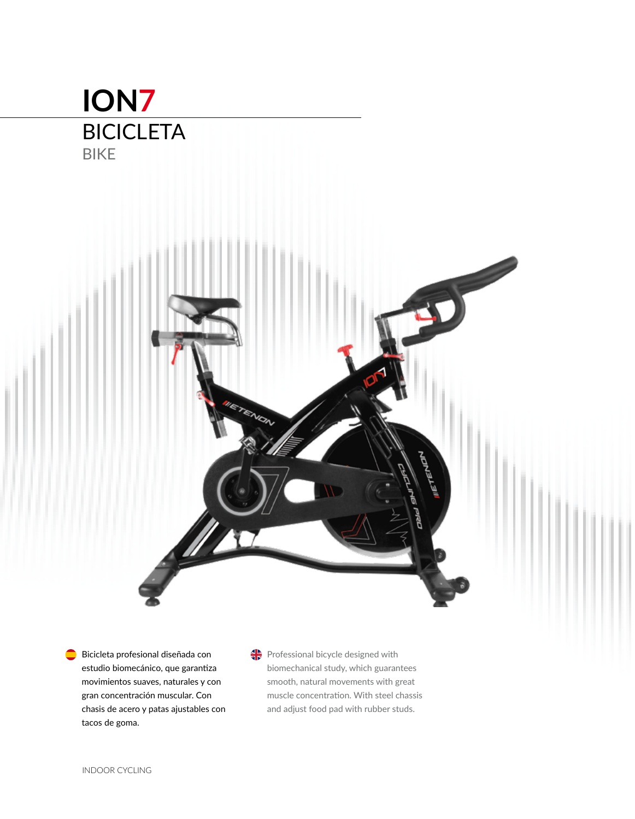# **ION7 BICICLETA** BIKE



 $\bullet$ Bicicleta profesional diseñada con estudio biomecánico, que garantiza movimientos suaves, naturales y con gran concentración muscular. Con chasis de acero y patas ajustables con tacos de goma.

Professional bicycle designed with biomechanical study, which guarantees smooth, natural movements with great muscle concentration. With steel chassis and adjust food pad with rubber studs.